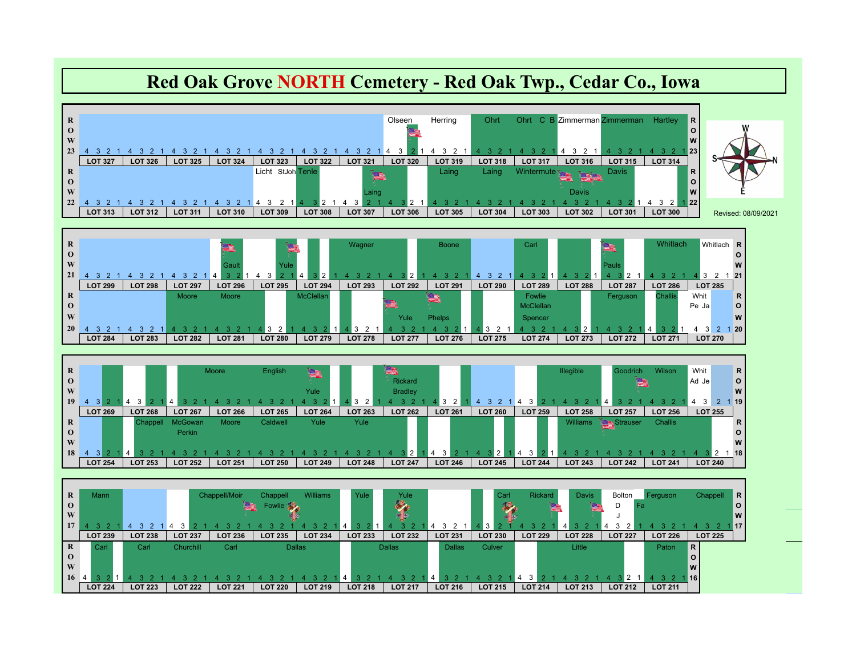## **Red Oak Grove NORTH Cemetery - Red Oak Twp., Cedar Co., Iowa**

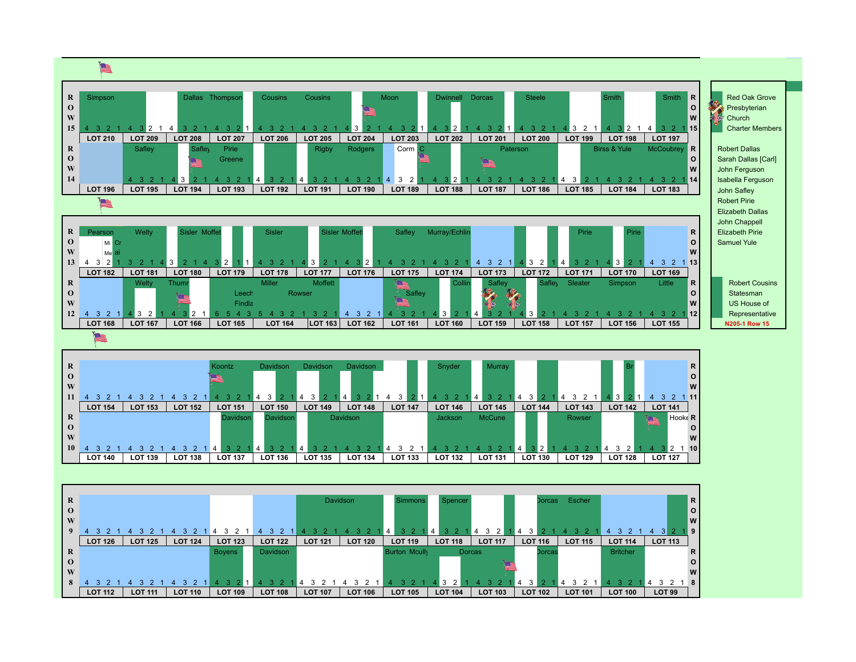

| $\mathbf R$  |                |                |                | Koontz         | Davidson       | Davidson       | Davidson       |                | Snyder         | Murray                           |                |                |                | R                               |
|--------------|----------------|----------------|----------------|----------------|----------------|----------------|----------------|----------------|----------------|----------------------------------|----------------|----------------|----------------|---------------------------------|
| $\mathbf{O}$ |                |                |                | rs.            |                |                |                |                |                |                                  |                |                |                | $\circ$                         |
| W            |                |                |                |                |                |                |                |                |                |                                  |                |                |                | <b>W</b>                        |
| 11           |                |                |                |                | 3<br>4         | -4             | 4              |                |                | 3 <sub>2</sub><br>$\overline{4}$ | 4              | - 3<br>4       |                | 11                              |
|              | <b>LOT 154</b> | <b>LOT 153</b> | <b>LOT 152</b> | <b>LOT 151</b> | <b>LOT 150</b> | <b>LOT 149</b> | <b>LOT 148</b> | <b>LOT 147</b> | <b>LOT 146</b> | <b>LOT 145</b>                   | <b>LOT 144</b> | <b>LOT 143</b> | <b>LOT 142</b> | <b>LOT 141</b>                  |
| $\mathbf R$  |                |                |                | Davidson       | Davidson       |                | Davidson       |                | Jackson        | <b>McCune</b>                    |                | Rowser         |                | Hooke <sub>R</sub><br><u>ka</u> |
| $\mathbf{O}$ |                |                |                |                |                |                |                |                |                |                                  |                |                |                |                                 |
| W            |                |                |                |                |                |                |                |                |                |                                  |                |                |                | W                               |
| <b>10</b>    |                |                |                |                |                |                |                |                |                |                                  | ◥2 ⊾<br>4      |                |                | <b>10</b><br>4                  |
|              | <b>LOT 140</b> | <b>LOT 139</b> | <b>LOT 138</b> | <b>LOT 137</b> | <b>LOT 136</b> | <b>LOT 135</b> | <b>LOT 134</b> | <b>LOT 133</b> | <b>LOT 132</b> | <b>LOT 131</b>                   | <b>LOT 130</b> | <b>LOT 129</b> | <b>LOT 128</b> | <b>LOT 127</b>                  |

| R        |                |                |                |                |                |                | Davidson       | <b>Simmons</b>       | Spencer        |                | Dorcas         | Escher         |                 |                | R              |
|----------|----------------|----------------|----------------|----------------|----------------|----------------|----------------|----------------------|----------------|----------------|----------------|----------------|-----------------|----------------|----------------|
| $\bf{O}$ |                |                |                |                |                |                |                |                      |                |                |                |                |                 |                | $\circ$        |
| W        |                |                |                |                |                |                |                |                      |                |                |                |                |                 |                | $\overline{w}$ |
| 9        |                |                |                |                |                |                |                | 4                    | $\overline{4}$ | 3<br>4         |                |                |                 |                | ∥9             |
|          | <b>LOT 126</b> | <b>LOT 125</b> | <b>LOT 124</b> | <b>LOT 123</b> | <b>LOT 122</b> | <b>LOT 121</b> | <b>LOT 120</b> | <b>LOT 119</b>       | <b>LOT 118</b> | <b>LOT 117</b> | <b>LOT 116</b> | <b>LOT 115</b> | <b>LOT 114</b>  | <b>LOT 113</b> |                |
| R        |                |                |                | <b>Boyens</b>  | Davidson       |                |                | <b>Burton Mcully</b> |                | <b>Dorcas</b>  | <b>Dorcas</b>  |                | <b>Britcher</b> |                | R              |
| $\bf{O}$ |                |                |                |                |                |                |                |                      |                |                |                |                |                 |                | O              |
| W        |                |                |                |                |                |                |                |                      |                |                |                |                |                 |                | W              |
| 8        |                |                |                |                |                |                |                |                      | 3              |                | 3<br>-4        | 3              |                 | 4              | 8              |
|          | <b>LOT 112</b> | <b>LOT 111</b> | <b>LOT 110</b> | <b>LOT 109</b> | <b>LOT 108</b> | <b>LOT 107</b> | <b>LOT 106</b> | <b>LOT 105</b>       | <b>LOT 104</b> | <b>LOT 103</b> | <b>LOT 102</b> | <b>LOT 101</b> | <b>LOT 100</b>  | <b>LOT 99</b>  |                |